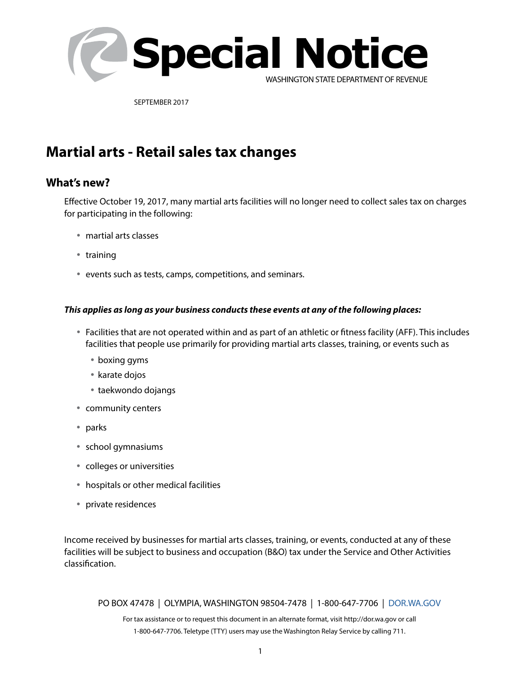

SEPTEMBER 2017

# **Martial arts - Retail sales tax changes**

## **What's new?**

Effective October 19, 2017, many martial arts facilities will no longer need to collect sales tax on charges for participating in the following:

- martial arts classes
- training
- events such as tests, camps, competitions, and seminars.

#### *This applies as long as your business conducts these events at any of the following places:*

- Facilities that are not operated within and as part of an athletic or fitness facility (AFF). This includes facilities that people use primarily for providing martial arts classes, training, or events such as
	- boxing gyms
	- karate dojos
	- taekwondo dojangs
- community centers
- parks
- school gymnasiums
- colleges or universities
- hospitals or other medical facilities
- private residences

Income received by businesses for martial arts classes, training, or events, conducted at any of these facilities will be subject to business and occupation (B&O) tax under the Service and Other Activities classification.

PO BOX 47478 | OLYMPIA, WASHINGTON 98504-7478 | 1-800-647-7706 | DOR.WA.GOV

For tax assistance or to request this document in an alternate format, visit http://dor.wa.gov or call 1-800-647-7706. Teletype (TTY) users may use the Washington Relay Service by calling 711.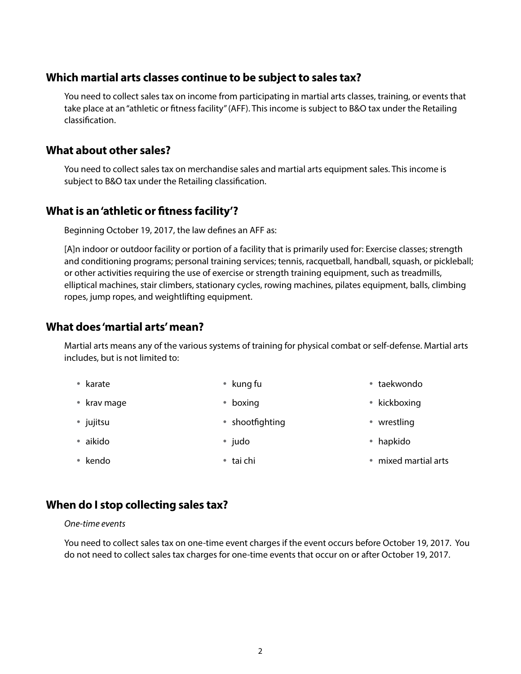### **Which martial arts classes continue to be subject to sales tax?**

You need to collect sales tax on income from participating in martial arts classes, training, or events that take place at an "athletic or fitness facility" (AFF). This income is subject to B&O tax under the Retailing classification.

### **What about other sales?**

You need to collect sales tax on merchandise sales and martial arts equipment sales. This income is subject to B&O tax under the Retailing classification.

# **What is an 'athletic or fitness facility'?**

Beginning October 19, 2017, the law defines an AFF as:

[A]n indoor or outdoor facility or portion of a facility that is primarily used for: Exercise classes; strength and conditioning programs; personal training services; tennis, racquetball, handball, squash, or pickleball; or other activities requiring the use of exercise or strength training equipment, such as treadmills, elliptical machines, stair climbers, stationary cycles, rowing machines, pilates equipment, balls, climbing ropes, jump ropes, and weightlifting equipment.

## **What does 'martial arts' mean?**

Martial arts means any of the various systems of training for physical combat or self-defense. Martial arts includes, but is not limited to:

| • karate    | • kung fu       | • taekwondo          |
|-------------|-----------------|----------------------|
| • krav mage | • boxing        | • kickboxing         |
| • jujitsu   | • shootfighting | wrestling            |
| • aikido    | • judo          | • hapkido            |
| • kendo     | • tai chi       | • mixed martial arts |
|             |                 |                      |

## **When do I stop collecting sales tax?**

#### *One-time events*

You need to collect sales tax on one-time event charges if the event occurs before October 19, 2017. You do not need to collect sales tax charges for one-time events that occur on or after October 19, 2017.